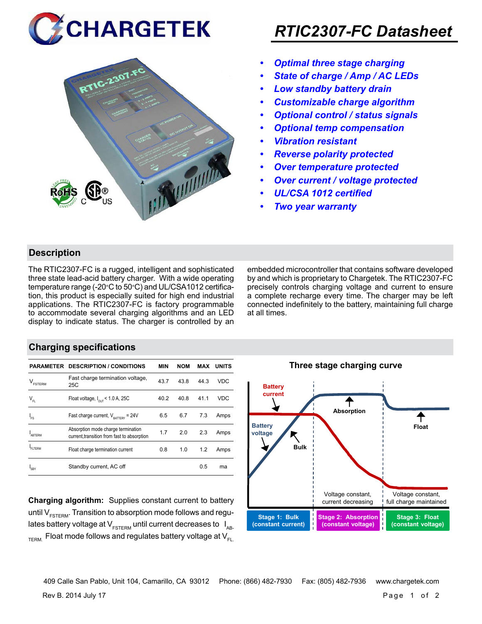



## *RTIC2307-FC Datasheet*

- *• Optimal three stage charging*
- *• State of charge / Amp / AC LEDs*
- *• Low standby battery drain*
- *• Customizable charge algorithm*
- *• Optional control / status signals*
- *• Optional temp compensation*
- *• Vibration resistant*
- *• Reverse polarity protected*
- *• Over temperature protected*
- *• Over current / voltage protected*
- *• UL/CSA 1012 certified*
- *• Two year warranty*

#### **Description**

The RTIC2307-FC is a rugged, intelligent and sophisticated three state lead-acid battery charger. With a wide operating temperature range (-20°C to 50°C) and UL/CSA1012 certification, this product is especially suited for high end industrial applications. The RTIC2307-FC is factory programmable to accommodate several charging algorithms and an LED display to indicate status. The charger is controlled by an embedded microcontroller that contains software developed by and which is proprietary to Chargetek. The RTIC2307-FC precisely controls charging voltage and current to ensure a complete recharge every time. The charger may be left connected indefinitely to the battery, maintaining full charge at all times.

#### **Charging specifications**

|                                      | <b>PARAMETER DESCRIPTION / CONDITIONS</b>                                         | <b>MIN</b> | <b>NOM</b> | MAX  | <b>UNITS</b> |
|--------------------------------------|-----------------------------------------------------------------------------------|------------|------------|------|--------------|
| $\mathsf{V}_{\texttt{\tiny FSTERN}}$ | Fast charge termination voltage,<br>25C                                           | 43.7       | 43.8       | 44.3 | VDC          |
| $\mathsf{V}_{\mathsf{FL}}$           | Float voltage, $I_{\text{out}}$ < 1.0 A, 25C                                      | 40.2       | 40.8       | 411  | <b>VDC</b>   |
| $I_{FS}$                             | Fast charge current, $V_{\text{partrev}} = 24V$                                   | 6.5        | 6.7        | 7.3  | Amps         |
| <b>ARTERM</b>                        | Absorption mode charge termination<br>current, transition from fast to absorption | 1.7        | 2.0        | 2.3  | Amps         |
| <b>FITERM</b>                        | Float charge termination current                                                  | 0.8        | 1.0        | 1.2  | Amps         |
| SRY                                  | Standby current, AC off                                                           |            |            | 0.5  | ma           |

**Charging algorithm:** Supplies constant current to battery until  $V_{ESTFRM}$ . Transition to absorption mode follows and regulates battery voltage at  $V_{ESTERM}$  until current decreases to  $I_{AR}$  $T_{\text{ERM}}$  Float mode follows and regulates battery voltage at  $V_{\text{F1}}$ 



Rev B. 2014 July 17 Page 1 of 2 409 Calle San Pablo, Unit 104, Camarillo, CA 93012 Phone: (866) 482-7930 Fax: (805) 482-7936 www.chargetek.com

**Three stage charging curve**